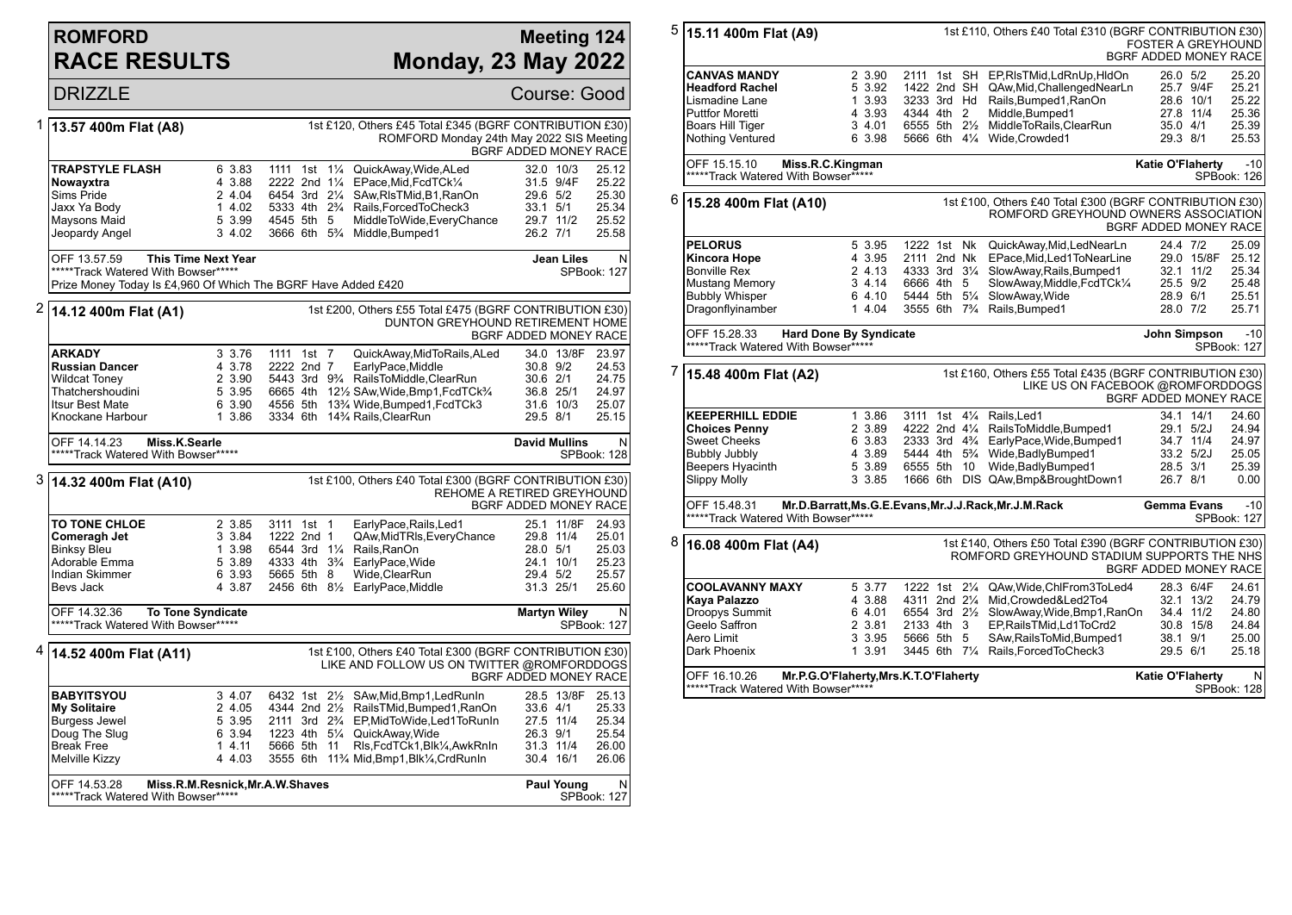## **ROMFORD RACE RESULTS**

## **Meeting 124 Monday, 23 May 2022**

|              | <b>DRIZZLE</b>                                                                                                                   |                                                          |                                                                            |                                                                                                                                                                                                                                                                                                 | Course: Good                                                              |                                                    |
|--------------|----------------------------------------------------------------------------------------------------------------------------------|----------------------------------------------------------|----------------------------------------------------------------------------|-------------------------------------------------------------------------------------------------------------------------------------------------------------------------------------------------------------------------------------------------------------------------------------------------|---------------------------------------------------------------------------|----------------------------------------------------|
| 1            | 13.57 400m Flat (A8)                                                                                                             |                                                          |                                                                            | 1st £120, Others £45 Total £345 (BGRF CONTRIBUTION £30)<br>ROMFORD Monday 24th May 2022 SIS Meeting                                                                                                                                                                                             | BGRF ADDED MONEY RACE                                                     |                                                    |
|              | TRAPSTYLE FLASH<br>Nowayxtra<br>Sims Pride<br>Jaxx Ya Body<br>Maysons Maid<br>Jeopardy Angel                                     | 6 3.83<br>4 3.88<br>2 4.04<br>14.02<br>5 3.99<br>3 4.02  | 1111 1st<br>$1\frac{1}{4}$<br>2222 2nd 11/4<br>6454 3rd 21/4<br>4545 5th 5 | QuickAway, Wide, ALed<br>EPace, Mid, FcdTCk1/4<br>SAw, RIs TMid, B1, RanOn<br>5333 4th 2 <sup>3</sup> / <sub>4</sub> Rails, Forced To Check 3<br>MiddleToWide,EveryChance<br>3666 6th 5% Middle, Bumped1                                                                                        | 32.0 10/3<br>31.5 9/4F<br>29.6 5/2<br>33.1 5/1<br>29.7 11/2<br>26.2 7/1   | 25.12<br>25.22<br>25.30<br>25.34<br>25.52<br>25.58 |
|              | OFF 13.57.59<br>*****Track Watered With Bowser*****<br>Prize Money Today Is £4,960 Of Which The BGRF Have Added £420             | <b>This Time Next Year</b>                               |                                                                            |                                                                                                                                                                                                                                                                                                 | Jean Liles                                                                | $\mathsf{N}$<br>SPBook: 127                        |
| $\mathbf{z}$ | 14.12 400m Flat (A1)                                                                                                             |                                                          |                                                                            | 1st £200, Others £55 Total £475 (BGRF CONTRIBUTION £30)<br>DUNTON GREYHOUND RETIREMENT HOME                                                                                                                                                                                                     | BGRF ADDED MONEY RACE                                                     |                                                    |
|              | <b>ARKADY</b><br><b>Russian Dancer</b><br><b>Wildcat Toney</b><br>Thatchershoudini<br><b>Itsur Best Mate</b><br>Knockane Harbour | 3 3.76<br>4 3.78<br>2 3.90<br>5 3.95<br>6 3.90<br>1 3.86 | 1111 1st 7<br>2222 2nd 7                                                   | QuickAway,MidToRails,ALed<br>EarlyPace, Middle<br>5443 3rd 9 <sup>3</sup> /4 RailsToMiddle, ClearRun<br>6665 4th 121/2 SAw, Wide, Bmp1, FcdTCk <sup>3</sup> /4<br>4556 5th 13 <sup>3</sup> / <sub>4</sub> Wide, Bumped 1, Fcd TCk 3<br>3334 6th 14 <sup>3</sup> / <sub>4</sub> Rails, Clear Run | 34.0 13/8F<br>30.8 9/2<br>30.6 2/1<br>36.8 25/1<br>31.6 10/3<br>29.5 8/1  | 23.97<br>24.53<br>24.75<br>24.97<br>25.07<br>25.15 |
|              | OFF 14.14.23<br>Miss.K.Searle<br>*****Track Watered With Bowser*****                                                             |                                                          |                                                                            |                                                                                                                                                                                                                                                                                                 | <b>David Mullins</b>                                                      | N<br>SPBook: 128                                   |
|              | 3 14.32 400m Flat (A10)                                                                                                          |                                                          |                                                                            | 1st £100, Others £40 Total £300 (BGRF CONTRIBUTION £30)                                                                                                                                                                                                                                         | REHOME A RETIRED GREYHOUND<br>BGRF ADDED MONEY RACE                       |                                                    |
|              | <b>TO TONE CHLOE</b><br>Comeragh Jet<br><b>Binksy Bleu</b><br>Adorable Emma<br>Indian Skimmer<br>Bevs Jack                       | 2 3.85<br>3 3.84<br>1 3.98<br>5 3.89<br>6 3.93<br>4 3.87 | 3111 1st 1<br>1222 2nd 1<br>6544 3rd 11/4 Rails, RanOn<br>5665 5th 8       | EarlyPace, Rails, Led1<br>QAw, Mid TRIs, Every Chance<br>4333 4th 3 <sup>3</sup> / <sub>4</sub> EarlyPace, Wide<br>Wide, ClearRun<br>2456 6th 81/2 EarlyPace, Middle                                                                                                                            | 25.1 11/8F<br>29.8 11/4<br>28.0 5/1<br>24.1 10/1<br>29.4 5/2<br>31.3 25/1 | 24.93<br>25.01<br>25.03<br>25.23<br>25.57<br>25.60 |
|              | OFF 14.32.36<br>*****Track Watered With Bowser*****                                                                              | <b>To Tone Syndicate</b>                                 |                                                                            |                                                                                                                                                                                                                                                                                                 | <b>Martyn Wiley</b>                                                       | N<br>SPBook: 127                                   |
| 4            | 14.52 400m Flat (A11)                                                                                                            |                                                          |                                                                            | 1st £100, Others £40 Total £300 (BGRF CONTRIBUTION £30)<br>LIKE AND FOLLOW US ON TWITTER @ROMFORDDOGS                                                                                                                                                                                           | BGRF ADDED MONEY RACE                                                     |                                                    |
|              | <b>BABYITSYOU</b><br><b>My Solitaire</b><br><b>Burgess Jewel</b><br>Doug The Slug<br><b>Break Free</b><br>Melville Kizzy         | 3 4.07<br>2 4.05<br>5 3.95<br>6 3.94<br>14.11<br>4 4.03  | 6432 1st 21/2<br>4344 2nd 21/2<br>5666 5th 11                              | SAw, Mid, Bmp1, Led RunIn<br>RailsTMid, Bumped1, RanOn<br>2111 3rd 23/4 EP, MidTo Wide, Led 1 To Run In<br>1223 4th 51/4 QuickAway, Wide<br>RIs, FcdTCk1, Blk1/4, AwkRnIn<br>3555 6th 11% Mid, Bmp1, Blk1/4, CrdRunIn                                                                           | 28.5 13/8F<br>33.6 4/1<br>27.5 11/4<br>26.3 9/1<br>31.3 11/4<br>30.4 16/1 | 25.13<br>25.33<br>25.34<br>25.54<br>26.00<br>26.06 |
|              | OFF 14.53.28<br>*****Track Watered With Bowser*****                                                                              | Miss.R.M.Resnick, Mr.A.W.Shaves                          |                                                                            |                                                                                                                                                                                                                                                                                                 | Paul Young                                                                | N<br><b>SPBook: 127</b>                            |

| 5 | 15.11 400m Flat (A9)                                                                                                                                             |                                                          |                                                                                                                      |                | 1st £110, Others £40 Total £310 (BGRF CONTRIBUTION £30)                                                                                                                                                                                 | <b>FOSTER A GREYHOUND</b><br><b>BGRF ADDED MONEY RACE</b> |                                                  |                                                         |
|---|------------------------------------------------------------------------------------------------------------------------------------------------------------------|----------------------------------------------------------|----------------------------------------------------------------------------------------------------------------------|----------------|-----------------------------------------------------------------------------------------------------------------------------------------------------------------------------------------------------------------------------------------|-----------------------------------------------------------|--------------------------------------------------|---------------------------------------------------------|
|   | <b>CANVAS MANDY</b><br><b>Headford Rachel</b><br>Lismadine Lane<br><b>Puttfor Moretti</b><br>Boars Hill Tiger<br>Nothing Ventured                                | 2 3.90<br>5 3.92<br>1 3.93<br>4 3.93<br>3 4.01<br>6 3.98 | 1422 2nd SH<br>3233 3rd Hd<br>4344 4th 2<br>6555 5th 21/2<br>5666 6th 41/4                                           |                | 2111 1st SH EP, RIs TMid, Ld Rn Up, HIdOn<br>QAw, Mid, Challenged NearLn<br>Rails, Bumped1, RanOn<br>Middle, Bumped1<br>MiddleToRails, ClearRun<br>Wide, Crowded1                                                                       | 26.0 5/2<br>35.0 4/1<br>29.3 8/1                          | 25.7 9/4F<br>28.6 10/1<br>27.8 11/4              | 25.20<br>25.21<br>25.22<br>25.36<br>25.39<br>25.53      |
|   | OFF 15.15.10<br>Miss.R.C.Kingman<br>*****Track Watered With Bowser******                                                                                         |                                                          |                                                                                                                      |                |                                                                                                                                                                                                                                         | <b>Katie O'Flaherty</b>                                   |                                                  | $-10$<br>SPBook: 126                                    |
| 6 | 15.28 400m Flat (A10)                                                                                                                                            |                                                          |                                                                                                                      |                | 1st £100, Others £40 Total £300 (BGRF CONTRIBUTION £30)<br>ROMFORD GREYHOUND OWNERS ASSOCIATION                                                                                                                                         | BGRF ADDED MONEY RACE                                     |                                                  |                                                         |
|   | <b>PELORUS</b><br><b>Kincora Hope</b><br><b>Bonville Rex</b><br><b>Mustang Memory</b><br><b>Bubbly Whisper</b><br>Dragonflyinamber                               | 5 3.95<br>4 3.95<br>2 4.13<br>34.14<br>6 4.10<br>1 4.04  | 1222 1st Nk<br>2111 2nd Nk<br>4333 3rd 31/4<br>6666 4th 5<br>5444 5th 51/4<br>3555 6th 7 <sup>3</sup> / <sub>4</sub> |                | QuickAway, Mid, LedNearLn<br>EPace, Mid, Led 1 To Near Line<br>SlowAway, Rails, Bumped1<br>SlowAway, Middle, FcdTCk1/4<br>SlowAway, Wide<br>Rails, Bumped1                                                                              | 24.4 7/2<br>25.5 9/2<br>28.9 6/1<br>28.0 7/2              | 29.0 15/8F<br>32.1 11/2                          | 25.09<br>25.12<br>25.34<br>25.48<br>25.51<br>25.71      |
|   | OFF 15.28.33<br><b>Hard Done By Syndicate</b><br>*****Track Watered With Bowser*****                                                                             |                                                          |                                                                                                                      |                |                                                                                                                                                                                                                                         | John Simpson                                              |                                                  | $-10$<br>SPBook: 127                                    |
|   |                                                                                                                                                                  |                                                          |                                                                                                                      |                |                                                                                                                                                                                                                                         |                                                           |                                                  |                                                         |
| 7 | 15.48 400m Flat (A2)                                                                                                                                             |                                                          |                                                                                                                      |                | 1st £160, Others £55 Total £435 (BGRF CONTRIBUTION £30)<br>LIKE US ON FACEBOOK @ROMFORDDOGS                                                                                                                                             | <b>BGRF ADDED MONEY RACE</b>                              |                                                  |                                                         |
|   | <b>KEEPERHILL EDDIE</b><br><b>Choices Penny</b><br><b>Sweet Cheeks</b><br><b>Bubbly Jubbly</b><br>Beepers Hyacinth<br><b>Slippy Molly</b>                        | 1 3.86<br>2 3.89<br>6 3.83<br>4 3.89<br>5 3.89<br>3 3.85 | 6555 5th                                                                                                             | 10             | 3111 1st 41/4 Rails. Led1<br>4222 2nd 41/4 RailsToMiddle, Bumped1<br>2333 3rd 4% EarlyPace, Wide, Bumped1<br>5444 4th 5 <sup>3</sup> / <sub>4</sub> Wide, Badly Bumped 1<br>Wide, BadlyBumped1<br>1666 6th DIS QAw, Bmp& Brought Down 1 | 28.5 3/1<br>26.7 8/1                                      | 34.1 14/1<br>29.1 5/2J<br>34.7 11/4<br>33.2 5/2J | 24.60<br>24.94<br>24.97<br>25.05<br>25.39<br>0.00       |
|   | OFF 15.48.31<br>*****Track Watered With Bowser*****                                                                                                              |                                                          |                                                                                                                      |                | Mr.D.Barratt, Ms.G.E.Evans, Mr.J.J.Rack, Mr.J.M.Rack                                                                                                                                                                                    | <b>Gemma Evans</b>                                        |                                                  | $-10$<br>SPBook: 127                                    |
| 8 | 16.08 400m Flat (A4)                                                                                                                                             |                                                          |                                                                                                                      |                | 1st £140, Others £50 Total £390 (BGRF CONTRIBUTION £30)<br>ROMFORD GREYHOUND STADIUM SUPPORTS THE NHS                                                                                                                                   | <b>BGRF ADDED MONEY RACE</b>                              |                                                  |                                                         |
|   | <b>COOLAVANNY MAXY</b><br>Kaya Palazzo<br>Droopys Summit<br>Geelo Saffron<br>Aero Limit<br>Dark Phoenix<br>Mr.P.G.O'Flaherty, Mrs.K.T.O'Flaherty<br>OFF 16.10.26 | 5 3.77<br>4 3.88<br>6 4.01<br>2 3.81<br>3 3.95<br>1 3.91 | 1222 1st<br>4311 2nd 21/4<br>6554 3rd 21/2<br>2133 4th 3<br>5666 5th 5                                               | $2\frac{1}{4}$ | QAw, Wide, ChlFrom3ToLed4<br>Mid, Crowded & Led 2To 4<br>SlowAway,Wide,Bmp1,RanOn<br>EP.RailsTMid.Ld1ToCrd2<br>SAw, Rails To Mid, Bumped 1<br>3445 6th 71/4 Rails, Forced To Check3                                                     | 38.1 9/1<br>29.5 6/1<br><b>Katie O'Flaherty</b>           | 28.3 6/4F<br>32.1 13/2<br>34.4 11/2<br>30.8 15/8 | 24.61<br>24.79<br>24.80<br>24.84<br>25.00<br>25.18<br>N |